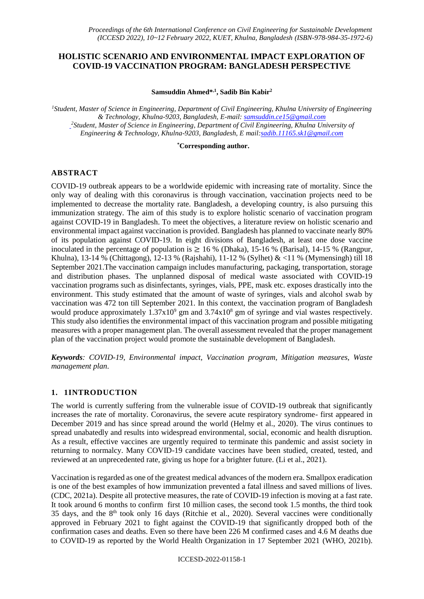## **HOLISTIC SCENARIO AND ENVIRONMENTAL IMPACT EXPLORATION OF COVID-19 VACCINATION PROGRAM: BANGLADESH PERSPECTIVE**

**Samsuddin Ahmed\* ,1 , Sadib Bin Kabir<sup>2</sup>**

*<sup>1</sup>Student, Master of Science in Engineering, Department of Civil Engineering, Khulna University of Engineering & Technology, Khulna-9203, Bangladesh, E-mail[: samsuddin.ce15@gmail.com](mailto:samsuddin.ce15@gmail.com) <sup>2</sup>Student, Master of Science in Engineering, Department of Civil Engineering, Khulna University of Engineering & Technology, Khulna-9203, Bangladesh, E mail[:sadib.11165.sk1@gmail.com](mailto:sadib.11165.sk1@gmail.com)*

**\*Corresponding author.**

#### **ABSTRACT**

COVID-19 outbreak appears to be a worldwide epidemic with increasing rate of mortality. Since the only way of dealing with this coronavirus is through vaccination, vaccination projects need to be implemented to decrease the mortality rate. Bangladesh, a developing country, is also pursuing this immunization strategy. The aim of this study is to explore holistic scenario of vaccination program against COVID-19 in Bangladesh. To meet the objectives, a literature review on holistic scenario and environmental impact against vaccination is provided. Bangladesh has planned to vaccinate nearly 80% of its population against COVID-19. In eight divisions of Bangladesh, at least one dose vaccine inoculated in the percentage of population is  $\geq 16$  % (Dhaka), 15-16 % (Barisal), 14-15 % (Rangpur, Khulna), 13-14 % (Chittagong), 12-13 % (Rajshahi), 11-12 % (Sylhet) & <11 % (Mymensingh) till 18 September 2021.The vaccination campaign includes manufacturing, packaging, transportation, storage and distribution phases. The unplanned disposal of medical waste associated with COVID-19 vaccination programs such as disinfectants, syringes, vials, PPE, mask etc. exposes drastically into the environment. This study estimated that the amount of waste of syringes, vials and alcohol swab by vaccination was 472 ton till September 2021. In this context, the vaccination program of Bangladesh would produce approximately  $1.37 \times 10^9$  gm and  $3.74 \times 10^8$  gm of syringe and vial wastes respectively. This study also identifies the environmental impact of this vaccination program and possible mitigating measures with a proper management plan. The overall assessment revealed that the proper management plan of the vaccination project would promote the sustainable development of Bangladesh.

*Keywords: COVID-19, Environmental impact, Vaccination program, Mitigation measures, Waste management plan*.

#### **1. 1INTRODUCTION**

The world is currently suffering from the vulnerable issue of COVID-19 outbreak that significantly increases the rate of mortality. Coronavirus, the severe acute respiratory syndrome- first appeared in December 2019 and has since spread around the world (Helmy et al., 2020). The virus continues to spread unabatedly and results into widespread environmental, social, economic and health disruption. As a result, effective vaccines are urgently required to terminate this pandemic and assist society in returning to normalcy. Many COVID-19 candidate vaccines have been studied, created, tested, and reviewed at an unprecedented rate, giving us hope for a brighter future. (Li et al., 2021).

Vaccination is regarded as one of the greatest medical advances of the modern era. Smallpox eradication is one of the best examples of how immunization prevented a fatal illness and saved millions of lives. (CDC, 2021a). Despite all protective measures, the rate of COVID-19 infection is moving at a fast rate. It took around 6 months to confirm first 10 million cases, the second took 1.5 months, the third took 35 days, and the  $8<sup>th</sup>$  took only 16 days (Ritchie et al., 2020). Several vaccines were conditionally approved in February 2021 to fight against the COVID-19 that significantly dropped both of the confirmation cases and deaths. Even so there have been 226 M confirmed cases and 4.6 M deaths due to COVID-19 as reported by the World Health Organization in 17 September 2021 (WHO, 2021b).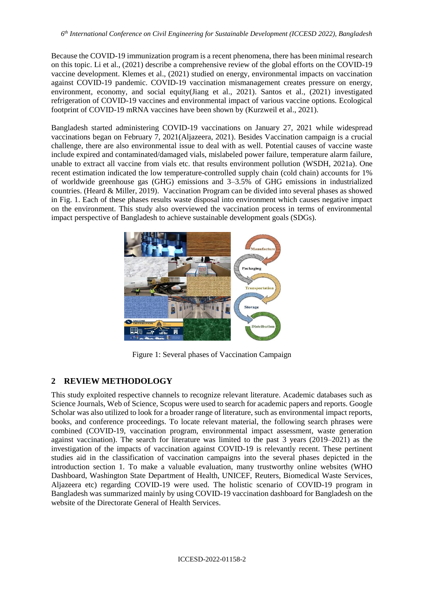Because the COVID-19 immunization program is a recent phenomena, there has been minimal research on this topic. Li et al., (2021) describe a comprehensive review of the global efforts on the COVID-19 vaccine development. Klemes et al., (2021) studied on energy, environmental impacts on vaccination against COVID-19 pandemic. COVID-19 vaccination mismanagement creates pressure on energy, environment, economy, and social equity(Jiang et al., 2021). Santos et al., (2021) investigated refrigeration of COVID-19 vaccines and environmental impact of various vaccine options. Ecological footprint of COVID-19 mRNA vaccines have been shown by (Kurzweil et al., 2021).

Bangladesh started administering COVID-19 vaccinations on January 27, 2021 while widespread vaccinations began on February 7, 2021(Aljazeera, 2021). Besides Vaccination campaign is a crucial challenge, there are also environmental issue to deal with as well. Potential causes of vaccine waste include expired and contaminated/damaged vials, mislabeled power failure, temperature alarm failure, unable to extract all vaccine from vials etc. that results environment pollution (WSDH, 2021a). One recent estimation indicated the low temperature-controlled supply chain (cold chain) accounts for 1% of worldwide greenhouse gas (GHG) emissions and 3–3.5% of GHG emissions in industrialized countries. (Heard & Miller, 2019). Vaccination Program can be divided into several phases as showed in Fig. 1. Each of these phases results waste disposal into environment which causes negative impact on the environment. This study also overviewed the vaccination process in terms of environmental impact perspective of Bangladesh to achieve sustainable development goals (SDGs).



Figure 1: Several phases of Vaccination Campaign

# **2 REVIEW METHODOLOGY**

This study exploited respective channels to recognize relevant literature. Academic databases such as Science Journals, Web of Science, Scopus were used to search for academic papers and reports. Google Scholar was also utilized to look for a broader range of literature, such as environmental impact reports, books, and conference proceedings. To locate relevant material, the following search phrases were combined (COVID-19, vaccination program, environmental impact assessment, waste generation against vaccination). The search for literature was limited to the past 3 years (2019–2021) as the investigation of the impacts of vaccination against COVID-19 is relevantly recent. These pertinent studies aid in the classification of vaccination campaigns into the several phases depicted in the introduction section 1. To make a valuable evaluation, many trustworthy online websites (WHO Dashboard, Washington State Department of Health, UNICEF, Reuters, Biomedical Waste Services, Aljazeera etc) regarding COVID-19 were used. The holistic scenario of COVID-19 program in Bangladesh was summarized mainly by using COVID-19 vaccination dashboard for Bangladesh on the website of the Directorate General of Health Services.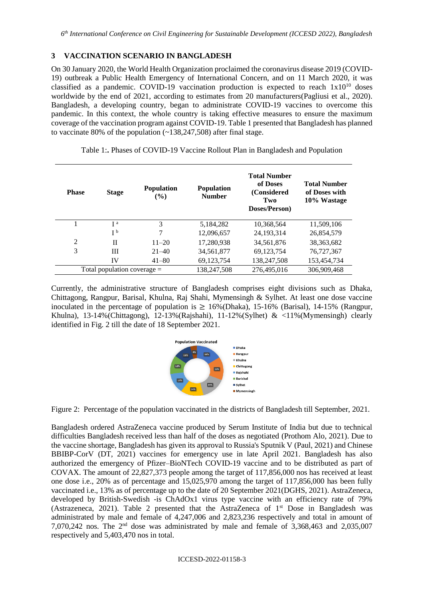### **3 VACCINATION SCENARIO IN BANGLADESH**

On 30 January 2020, the World Health Organization proclaimed the coronavirus disease 2019 (COVID-19) outbreak a Public Health Emergency of International Concern, and on 11 March 2020, it was classified as a pandemic. COVID-19 vaccination production is expected to reach  $1x10^{10}$  doses worldwide by the end of 2021, according to estimates from 20 manufacturers(Pagliusi et al., 2020). Bangladesh, a developing country, began to administrate COVID-19 vaccines to overcome this pandemic. In this context, the whole country is taking effective measures to ensure the maximum coverage of the vaccination program against COVID-19. Table 1 presented that Bangladesh has planned to vaccinate 80% of the population  $(-138,247,508)$  after final stage.

| <b>Phase</b>                  | <b>Stage</b>   | <b>Population</b><br>$($ %) | <b>Population</b><br><b>Number</b> | <b>Total Number</b><br>of Doses<br>(Considered<br>Two<br>Doses/Person) | <b>Total Number</b><br>of Doses with<br>10% Wastage |
|-------------------------------|----------------|-----------------------------|------------------------------------|------------------------------------------------------------------------|-----------------------------------------------------|
|                               | I <sub>a</sub> | 3                           | 5,184,282                          | 10,368,564                                                             | 11,509,106                                          |
|                               | I <sub>p</sub> | 7                           | 12,096,657                         | 24, 193, 314                                                           | 26,854,579                                          |
| $\overline{2}$                | $_{\rm II}$    | $11 - 20$                   | 17,280,938                         | 34,561,876                                                             | 38, 363, 682                                        |
| 3                             | Ш              | $21 - 40$                   | 34,561,877                         | 69,123,754                                                             | 76,727,367                                          |
|                               | IV             | $41 - 80$                   | 69,123,754                         | 138,247,508                                                            | 153,454,734                                         |
| Total population coverage $=$ |                |                             | 138,247,508                        | 276,495,016                                                            | 306,909,468                                         |

|  |  | Table 1: Phases of COVID-19 Vaccine Rollout Plan in Bangladesh and Population |  |  |
|--|--|-------------------------------------------------------------------------------|--|--|
|  |  |                                                                               |  |  |

Currently, the administrative structure of Bangladesh comprises eight divisions such as Dhaka, Chittagong, Rangpur, Barisal, Khulna, Raj Shahi, Mymensingh & Sylhet. At least one dose vaccine inoculated in the percentage of population is  $\geq 16\%$  (Dhaka), 15-16% (Barisal), 14-15% (Rangpur, Khulna), 13-14%(Chittagong), 12-13%(Rajshahi), 11-12%(Sylhet) & <11%(Mymensingh) clearly identified in Fig. 2 till the date of 18 September 2021.



Figure 2: Percentage of the population vaccinated in the districts of Bangladesh till September, 2021.

Bangladesh ordered AstraZeneca vaccine produced by Serum Institute of India but due to technical difficulties Bangladesh received less than half of the doses as negotiated (Prothom Alo, 2021). Due to the vaccine shortage, Bangladesh has given its approval to Russia's Sputnik V (Paul, 2021) and Chinese BBIBP-CorV (DT, 2021) vaccines for emergency use in late April 2021. Bangladesh has also authorized the emergency of Pfizer–BioNTech COVID-19 vaccine and to be distributed as part of COVAX. The amount of 22,827,373 people among the target of 117,856,000 nos has received at least one dose i.e., 20% as of percentage and 15,025,970 among the target of 117,856,000 has been fully vaccinated i.e., 13% as of percentage up to the date of 20 September 2021(DGHS, 2021). AstraZeneca, developed by British-Swedish -is ChAdOx1 virus type vaccine with an efficiency rate of 79% (Astrazeneca, 2021). Table 2 presented that the AstraZeneca of 1<sup>st</sup> Dose in Bangladesh was administrated by male and female of 4,247,006 and 2,823,236 respectively and total in amount of 7,070,242 nos. The  $2<sup>nd</sup>$  dose was administrated by male and female of 3,368,463 and 2,035,007 respectively and 5,403,470 nos in total.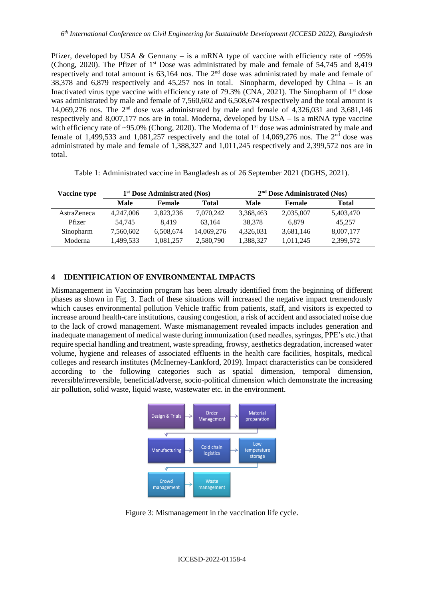Pfizer, developed by USA & Germany – is a mRNA type of vaccine with efficiency rate of  $\sim 95\%$ (Chong, 2020). The Pfizer of 1st Dose was administrated by male and female of 54,745 and 8,419 respectively and total amount is 63,164 nos. The 2nd dose was administrated by male and female of 38,378 and 6,879 respectively and 45,257 nos in total. Sinopharm, developed by China – is an Inactivated virus type vaccine with efficiency rate of 79.3% (CNA, 2021). The Sinopharm of  $1<sup>st</sup>$  dose was administrated by male and female of 7,560,602 and 6,508,674 respectively and the total amount is 14,069,276 nos. The  $2<sup>nd</sup>$  dose was administrated by male and female of 4,326,031 and 3,681,146 respectively and 8,007,177 nos are in total. Moderna, developed by USA – is a mRNA type vaccine with efficiency rate of ~95.0% (Chong, 2020). The Moderna of 1<sup>st</sup> dose was administrated by male and female of 1,499,533 and 1,081,257 respectively and the total of 14,069,276 nos. The  $2<sup>nd</sup>$  dose was administrated by male and female of 1,388,327 and 1,011,245 respectively and 2,399,572 nos are in total.

| <b>Vaccine type</b> | 1 <sup>st</sup> Dose Administrated (Nos) |           |            | $2nd$ Dose Administrated (Nos) |           |              |
|---------------------|------------------------------------------|-----------|------------|--------------------------------|-----------|--------------|
|                     | Male                                     | Female    | Total      | Male                           | Female    | <b>Total</b> |
| AstraZeneca         | 4,247,006                                | 2,823,236 | 7,070,242  | 3,368,463                      | 2,035,007 | 5,403,470    |
| Pfizer              | 54.745                                   | 8.419     | 63.164     | 38.378                         | 6.879     | 45.257       |
| Sinopharm           | 7,560,602                                | 6,508,674 | 14,069,276 | 4,326,031                      | 3,681,146 | 8,007,177    |
| Moderna             | 1,499,533                                | 1,081,257 | 2,580,790  | 1,388,327                      | 1,011,245 | 2,399,572    |

Table 1: Administrated vaccine in Bangladesh as of 26 September 2021 (DGHS, 2021).

## **4 IDENTIFICATION OF ENVIRONMENTAL IMPACTS**

Mismanagement in Vaccination program has been already identified from the beginning of different phases as shown in Fig. 3. Each of these situations will increased the negative impact tremendously which causes environmental pollution Vehicle traffic from patients, staff, and visitors is expected to increase around health-care institutions, causing congestion, a risk of accident and associated noise due to the lack of crowd management. Waste mismanagement revealed impacts includes generation and inadequate management of medical waste during immunization (used needles, syringes, PPE's etc.) that require special handling and treatment, waste spreading, frowsy, aesthetics degradation, increased water volume, hygiene and releases of associated effluents in the health care facilities, hospitals, medical colleges and research institutes (McInerney-Lankford, 2019). Impact characteristics can be considered according to the following categories such as spatial dimension, temporal dimension, reversible/irreversible, beneficial/adverse, socio-political dimension which demonstrate the increasing air pollution, solid waste, liquid waste, wastewater etc. in the environment.



Figure 3: Mismanagement in the vaccination life cycle.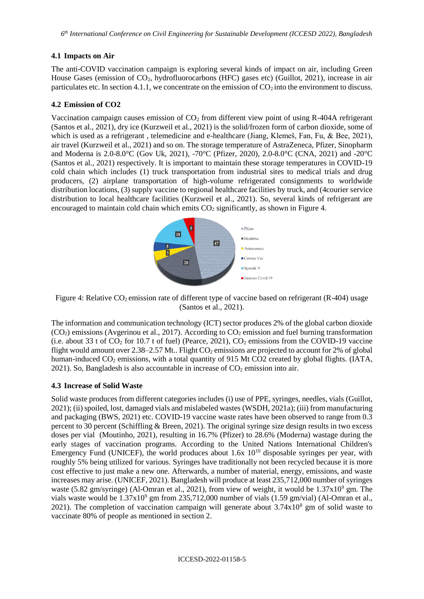### **4.1 Impacts on Air**

The anti-COVID vaccination campaign is exploring several kinds of impact on air, including Green House Gases (emission of CO<sub>2</sub>, hydrofluorocarbons (HFC) gases etc) (Guillot, 2021), increase in air particulates etc. In section 4.1.1, we concentrate on the emission of  $CO<sub>2</sub>$  into the environment to discuss.

### **4.2 Emission of CO2**

Vaccination campaign causes emission of  $CO<sub>2</sub>$  from different view point of using R-404A refrigerant (Santos et al., 2021), dry ice (Kurzweil et al., 2021) is the solid/frozen form of carbon dioxide, some of which is used as a refrigerant, telemedicine and e-healthcare (Jiang, Klemeš, Fan, Fu, & Bee, 2021), air travel (Kurzweil et al., 2021) and so on. The storage temperature of AstraZeneca, Pfizer, Sinopharm and Moderna is 2.0-8.0°C (Gov Uk, 2021), -70°C (Pfizer, 2020), 2.0-8.0°C (CNA, 2021) and -20°C (Santos et al., 2021) respectively. It is important to maintain these storage temperatures in COVID-19 cold chain which includes (1) truck transportation from industrial sites to medical trials and drug producers, (2) airplane transportation of high-volume refrigerated consignments to worldwide distribution locations, (3) supply vaccine to regional healthcare facilities by truck, and (4courier service distribution to local healthcare facilities (Kurzweil et al., 2021). So, several kinds of refrigerant are encouraged to maintain cold chain which emits  $CO<sub>2</sub>$  significantly, as shown in Figure 4.



Figure 4: Relative CO<sub>2</sub> emission rate of different type of vaccine based on refrigerant (R-404) usage (Santos et al., 2021).

The information and communication technology (ICT) sector produces 2% of the global carbon dioxide  $(CO<sub>2</sub>)$  emissions (Avgerinou et al., 2017). According to  $CO<sub>2</sub>$  emission and fuel burning transformation (i.e. about 33 t of  $CO_2$  for 10.7 t of fuel) (Pearce, 2021),  $CO_2$  emissions from the COVID-19 vaccine flight would amount over  $2.38-2.57$  Mt.. Flight  $CO<sub>2</sub>$  emissions are projected to account for 2% of global human-induced  $CO<sub>2</sub>$  emissions, with a total quantity of 915 Mt CO2 created by global flights. (IATA, 2021). So, Bangladesh is also accountable in increase of  $CO<sub>2</sub>$  emission into air.

#### **4.3 Increase of Solid Waste**

Solid waste produces from different categories includes (i) use of PPE, syringes, needles, vials (Guillot, 2021); (ii) spoiled, lost, damaged vials and mislabeled wastes (WSDH, 2021a); (iii) from manufacturing and packaging (BWS, 2021) etc. COVID-19 vaccine waste rates have been observed to range from 0.3 percent to 30 percent (Schiffling & Breen, 2021). The original syringe size design results in two excess doses per vial (Moutinho, 2021), resulting in 16.7% (Pfizer) to 28.6% (Moderna) wastage during the early stages of vaccination programs. According to the United Nations International Children's Emergency Fund (UNICEF), the world produces about  $1.6x \times 10^{10}$  disposable syringes per year, with roughly 5% being utilized for various. Syringes have traditionally not been recycled because it is more cost effective to just make a new one. Afterwards, a number of material, energy, emissions, and waste increases may arise. (UNICEF, 2021). Bangladesh will produce at least 235,712,000 number of syringes waste (5.82 gm/syringe) (Al-Omran et al., 2021), from view of weight, it would be  $1.37 \times 10^9$  gm. The vials waste would be  $1.37x10^9$  gm from 235,712,000 number of vials (1.59 gm/vial) (Al-Omran et al., 2021). The completion of vaccination campaign will generate about  $3.74 \times 10^8$  gm of solid waste to vaccinate 80% of people as mentioned in section 2.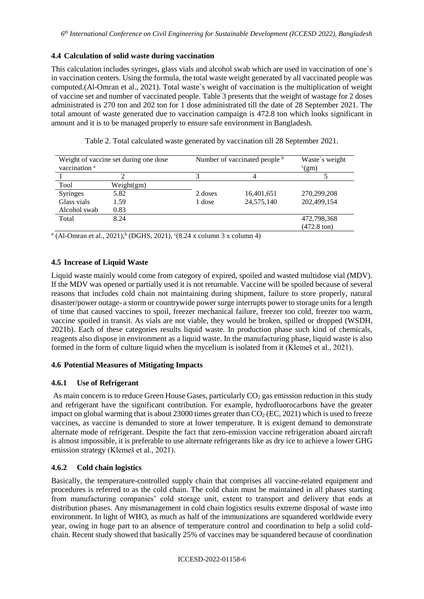### **4.4 Calculation of solid waste during vaccination**

This calculation includes syringes, glass vials and alcohol swab which are used in vaccination of one`s in vaccination centers. Using the formula, the total waste weight generated by all vaccinated people was computed.(Al-Omran et al., 2021). Total waste`s weight of vaccination is the multiplication of weight of vaccine set and number of vaccinated people. Table 3 presents that the weight of wastage for 2 doses administrated is 270 ton and 202 ton for 1 dose administrated till the date of 28 September 2021. The total amount of waste generated due to vaccination campaign is 472.8 ton which looks significant in amount and it is to be managed properly to ensure safe environment in Bangladesh.

| Weight of vaccine set during one dose<br>vaccination <sup>a</sup> |            | Number of vaccinated people b |            | Waste's weight<br>$\rm ^c(gm)$ |  |
|-------------------------------------------------------------------|------------|-------------------------------|------------|--------------------------------|--|
|                                                                   |            |                               |            |                                |  |
| Tool                                                              | Weight(gm) |                               |            |                                |  |
| Syringes                                                          | 5.82       | 2 doses                       | 16,401,651 | 270,299,208                    |  |
| Glass vials                                                       | 1.59       | 1 dose                        | 24,575,140 | 202,499,154                    |  |
| Alcohol swab                                                      | 0.83       |                               |            |                                |  |
| Total                                                             | 8.24       |                               |            | 472,798,368                    |  |
|                                                                   |            |                               |            | $(472.8 \text{ ton})$          |  |

Table 2. Total calculated waste generated by vaccination till 28 September 2021.

<sup>a</sup> (Al-Omran et al., 2021), <sup>b</sup> (DGHS, 2021), <sup>c</sup>(8.24 x column 3 x column 4)

## **4.5 Increase of Liquid Waste**

Liquid waste mainly would come from category of expired, spoiled and wasted multidose vial (MDV). If the MDV was opened or partially used it is not returnable. Vaccine will be spoiled because of several reasons that includes cold chain not maintaining during shipment, failure to store properly, natural disaster/power outage- a storm or countrywide power surge interrupts power to storage units for a length of time that caused vaccines to spoil, freezer mechanical failure, freezer too cold, freezer too warm, vaccine spoiled in transit. As vials are not viable, they would be broken, spilled or dropped (WSDH, 2021b). Each of these categories results liquid waste. In production phase such kind of chemicals, reagents also dispose in environment as a liquid waste. In the manufacturing phase, liquid waste is also formed in the form of culture liquid when the mycelium is isolated from it (Klemeš et al., 2021).

## **4.6 Potential Measures of Mitigating Impacts**

## **4.6.1 Use of Refrigerant**

As main concern is to reduce Green House Gases, particularly  $CO<sub>2</sub>$  gas emission reduction in this study and refrigerant have the significant contribution. For example, hydrofluorocarbons have the greater impact on global warming that is about 23000 times greater than  $CO<sub>2</sub> (EC, 2021)$  which is used to freeze vaccines, as vaccine is demanded to store at lower temperature. It is exigent demand to demonstrate alternate mode of refrigerant. Despite the fact that zero-emission vaccine refrigeration aboard aircraft is almost impossible, it is preferable to use alternate refrigerants like as dry ice to achieve a lower GHG emission strategy (Klemeš et al., 2021).

## **4.6.2 Cold chain logistics**

Basically, the temperature-controlled supply chain that comprises all vaccine-related equipment and procedures is referred to as the cold chain. The cold chain must be maintained in all phases starting from manufacturing companies' cold storage unit, extent to transport and delivery that ends at distribution phases. Any mismanagement in cold chain logistics results extreme disposal of waste into environment. In light of WHO, as much as half of the immunizations are squandered worldwide every year, owing in huge part to an absence of temperature control and coordination to help a solid coldchain. Recent study showed that basically 25% of vaccines may be squandered because of coordination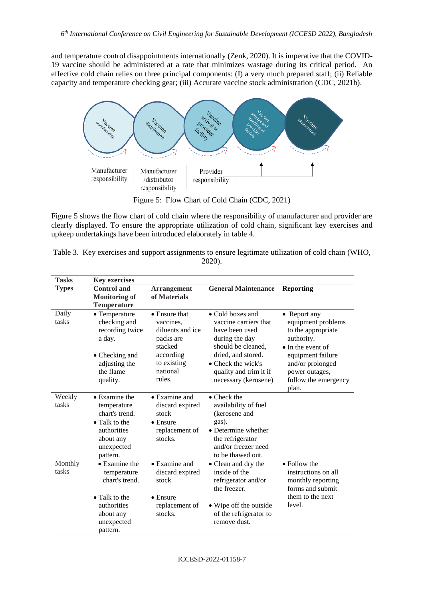and temperature control disappointments internationally (Zenk, 2020). It is imperative that the COVID-19 vaccine should be administered at a rate that minimizes wastage during its critical period. An effective cold chain relies on three principal components: (I) a very much prepared staff; (ii) Reliable capacity and temperature checking gear; (iii) Accurate vaccine stock administration (CDC, 2021b).



Figure 5: Flow Chart of Cold Chain (CDC, 2021)

Figure 5 shows the flow chart of cold chain where the responsibility of manufacturer and provider are clearly displayed. To ensure the appropriate utilization of cold chain, significant key exercises and upkeep undertakings have been introduced elaborately in table 4.

| Table 3. Key exercises and support assignments to ensure legitimate utilization of cold chain (WHO, |
|-----------------------------------------------------------------------------------------------------|
| 2020).                                                                                              |

| <b>Tasks</b>     | <b>Key exercises</b>                                                                                                          |                                                                                                                          |                                                                                                                                                                                                   |                                                                                                                                                                                                 |
|------------------|-------------------------------------------------------------------------------------------------------------------------------|--------------------------------------------------------------------------------------------------------------------------|---------------------------------------------------------------------------------------------------------------------------------------------------------------------------------------------------|-------------------------------------------------------------------------------------------------------------------------------------------------------------------------------------------------|
| <b>Types</b>     | <b>Control</b> and<br><b>Monitoring of</b><br><b>Temperature</b>                                                              | <b>Arrangement</b><br>of Materials                                                                                       | <b>General Maintenance</b>                                                                                                                                                                        | <b>Reporting</b>                                                                                                                                                                                |
| Daily<br>tasks   | • Temperature<br>checking and<br>recording twice<br>a day.<br>• Checking and<br>adjusting the<br>the flame<br>quality.        | • Ensure that<br>vaccines.<br>diluents and ice<br>packs are<br>stacked<br>according<br>to existing<br>national<br>rules. | • Cold boxes and<br>vaccine carriers that<br>have been used<br>during the day<br>should be cleaned,<br>dried, and stored.<br>• Check the wick's<br>quality and trim it if<br>necessary (kerosene) | • Report any<br>equipment problems<br>to the appropriate<br>authority.<br>$\bullet$ In the event of<br>equipment failure<br>and/or prolonged<br>power outages,<br>follow the emergency<br>plan. |
| Weekly<br>tasks  | • Examine the<br>temperature<br>chart's trend.<br>• Talk to the<br>authorities<br>about any<br>unexpected<br>pattern.         | • Examine and<br>discard expired<br>stock<br>$\bullet$ Ensure<br>replacement of<br>stocks.                               | $\bullet$ Check the<br>availability of fuel<br>(kerosene and<br>gas).<br>• Determine whether<br>the refrigerator<br>and/or freezer need<br>to be thawed out.                                      |                                                                                                                                                                                                 |
| Monthly<br>tasks | • Examine the<br>temperature<br>chart's trend.<br>$\bullet$ Talk to the<br>authorities<br>about any<br>unexpected<br>pattern. | • Examine and<br>discard expired<br>stock<br>$\bullet$ Ensure<br>replacement of<br>stocks.                               | • Clean and dry the<br>inside of the<br>refrigerator and/or<br>the freezer.<br>• Wipe off the outside<br>of the refrigerator to<br>remove dust.                                                   | • Follow the<br>instructions on all<br>monthly reporting<br>forms and submit<br>them to the next<br>level.                                                                                      |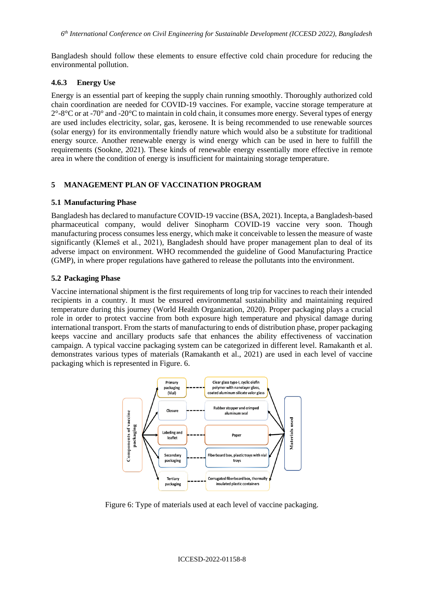Bangladesh should follow these elements to ensure effective cold chain procedure for reducing the environmental pollution.

### **4.6.3 Energy Use**

Energy is an essential part of keeping the supply chain running smoothly. Thoroughly authorized cold chain coordination are needed for COVID-19 vaccines. For example, vaccine storage temperature at  $2^{\circ}$ -8°C or at -70° and -20°C to maintain in cold chain, it consumes more energy. Several types of energy are used includes electricity, solar, gas, kerosene. It is being recommended to use renewable sources (solar energy) for its environmentally friendly nature which would also be a substitute for traditional energy source. Another renewable energy is wind energy which can be used in here to fulfill the requirements (Sookne, 2021). These kinds of renewable energy essentially more effective in remote area in where the condition of energy is insufficient for maintaining storage temperature.

### **5 MANAGEMENT PLAN OF VACCINATION PROGRAM**

#### **5.1 Manufacturing Phase**

Bangladesh has declared to manufacture COVID-19 vaccine (BSA, 2021). Incepta, a Bangladesh-based pharmaceutical company, would deliver Sinopharm COVID-19 vaccine very soon. Though manufacturing process consumes less energy, which make it conceivable to lessen the measure of waste significantly (Klemeš et al., 2021), Bangladesh should have proper management plan to deal of its adverse impact on environment. WHO recommended the guideline of Good Manufacturing Practice (GMP), in where proper regulations have gathered to release the pollutants into the environment.

#### **5.2 Packaging Phase**

Vaccine international shipment is the first requirements of long trip for vaccines to reach their intended recipients in a country. It must be ensured environmental sustainability and maintaining required temperature during this journey (World Health Organization, 2020). Proper packaging plays a crucial role in order to protect vaccine from both exposure high temperature and physical damage during international transport. From the starts of manufacturing to ends of distribution phase, proper packaging keeps vaccine and ancillary products safe that enhances the ability effectiveness of vaccination campaign. A typical vaccine packaging system can be categorized in different level. Ramakanth et al. demonstrates various types of materials (Ramakanth et al., 2021) are used in each level of vaccine packaging which is represented in Figure. 6.



Figure 6: Type of materials used at each level of vaccine packaging.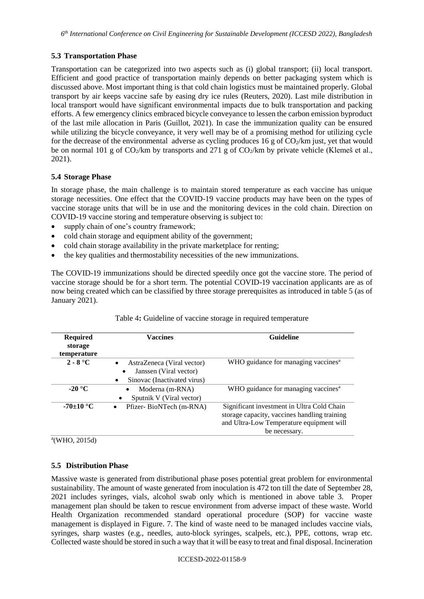### **5.3 Transportation Phase**

Transportation can be categorized into two aspects such as (i) global transport; (ii) local transport. Efficient and good practice of transportation mainly depends on better packaging system which is discussed above. Most important thing is that cold chain logistics must be maintained properly. Global transport by air keeps vaccine safe by easing dry ice rules (Reuters, 2020). Last mile distribution in local transport would have significant environmental impacts due to bulk transportation and packing efforts. A few emergency clinics embraced bicycle conveyance to lessen the carbon emission byproduct of the last mile allocation in Paris (Guillot, 2021). In case the immunization quality can be ensured while utilizing the bicycle conveyance, it very well may be of a promising method for utilizing cycle for the decrease of the environmental adverse as cycling produces 16 g of  $CO<sub>2</sub>/km$  just, yet that would be on normal 101 g of  $CO_2/km$  by transports and 271 g of  $CO_2/km$  by private vehicle (Klemeš et al., 2021).

### **5.4 Storage Phase**

In storage phase, the main challenge is to maintain stored temperature as each vaccine has unique storage necessities. One effect that the COVID-19 vaccine products may have been on the types of vaccine storage units that will be in use and the monitoring devices in the cold chain. Direction on COVID-19 vaccine storing and temperature observing is subject to:

- supply chain of one's country framework;
- cold chain storage and equipment ability of the government;
- cold chain storage availability in the private marketplace for renting;
- the key qualities and thermostability necessities of the new immunizations.

The COVID-19 immunizations should be directed speedily once got the vaccine store. The period of vaccine storage should be for a short term. The potential COVID-19 vaccination applicants are as of now being created which can be classified by three storage prerequisites as introduced in table 5 (as of January 2021).

| <b>Required</b><br>storage<br>temperature | <b>Vaccines</b>                                                                                       | <b>Guideline</b>                                                                                                                                        |
|-------------------------------------------|-------------------------------------------------------------------------------------------------------|---------------------------------------------------------------------------------------------------------------------------------------------------------|
| $2 - 8$ °C                                | AstraZeneca (Viral vector)<br>$\bullet$<br>Janssen (Viral vector)<br>Sinovac (Inactivated virus)<br>٠ | WHO guidance for managing vaccines <sup>a</sup>                                                                                                         |
| -20 $^{\circ}$ C                          | Moderna (m-RNA)<br>Sputnik V (Viral vector)<br>٠                                                      | WHO guidance for managing vaccines <sup>a</sup>                                                                                                         |
| -70±10 $^{\circ}$ C                       | Pfizer-BioNTech (m-RNA)                                                                               | Significant investment in Ultra Cold Chain<br>storage capacity, vaccines handling training<br>and Ultra-Low Temperature equipment will<br>be necessary. |

|  |  | Table 4: Guideline of vaccine storage in required temperature |  |
|--|--|---------------------------------------------------------------|--|
|  |  |                                                               |  |
|  |  |                                                               |  |
|  |  |                                                               |  |

 $a$ (WHO, 2015d)

## **5.5 Distribution Phase**

Massive waste is generated from distributional phase poses potential great problem for environmental sustainability. The amount of waste generated from inoculation is 472 ton till the date of September 28, 2021 includes syringes, vials, alcohol swab only which is mentioned in above table 3. Proper management plan should be taken to rescue environment from adverse impact of these waste. World Health Organization recommended standard operational procedure (SOP) for vaccine waste management is displayed in Figure. 7. The kind of waste need to be managed includes vaccine vials, syringes, sharp wastes (e.g., needles, auto-block syringes, scalpels, etc.), PPE, cottons, wrap etc. Collected waste should be stored in such a way that it will be easy to treat and final disposal. Incineration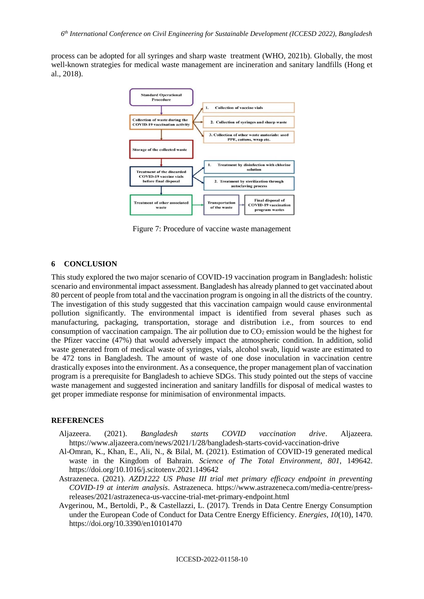process can be adopted for all syringes and sharp waste treatment (WHO, 2021b). Globally, the most well-known strategies for medical waste management are incineration and sanitary landfills (Hong et al., 2018).



Figure 7: Procedure of vaccine waste management

#### **6 CONCLUSION**

This study explored the two major scenario of COVID-19 vaccination program in Bangladesh: holistic scenario and environmental impact assessment. Bangladesh has already planned to get vaccinated about 80 percent of people from total and the vaccination program is ongoing in all the districts of the country. The investigation of this study suggested that this vaccination campaign would cause environmental pollution significantly. The environmental impact is identified from several phases such as manufacturing, packaging, transportation, storage and distribution i.e., from sources to end consumption of vaccination campaign. The air pollution due to  $CO<sub>2</sub>$  emission would be the highest for the Pfizer vaccine (47%) that would adversely impact the atmospheric condition. In addition, solid waste generated from of medical waste of syringes, vials, alcohol swab, liquid waste are estimated to be 472 tons in Bangladesh. The amount of waste of one dose inoculation in vaccination centre drastically exposes into the environment. As a consequence, the proper management plan of vaccination program is a prerequisite for Bangladesh to achieve SDGs. This study pointed out the steps of vaccine waste management and suggested incineration and sanitary landfills for disposal of medical wastes to get proper immediate response for minimisation of environmental impacts.

#### **REFERENCES**

- Aljazeera. (2021). *Bangladesh starts COVID vaccination drive*. Aljazeera. https://www.aljazeera.com/news/2021/1/28/bangladesh-starts-covid-vaccination-drive
- Al-Omran, K., Khan, E., Ali, N., & Bilal, M. (2021). Estimation of COVID-19 generated medical waste in the Kingdom of Bahrain. *Science of The Total Environment*, *801*, 149642. https://doi.org/10.1016/j.scitotenv.2021.149642
- Astrazeneca. (2021). *AZD1222 US Phase III trial met primary efficacy endpoint in preventing COVID-19 at interim analysis*. Astrazeneca. https://www.astrazeneca.com/media-centre/pressreleases/2021/astrazeneca-us-vaccine-trial-met-primary-endpoint.html
- Avgerinou, M., Bertoldi, P., & Castellazzi, L. (2017). Trends in Data Centre Energy Consumption under the European Code of Conduct for Data Centre Energy Efficiency. *Energies*, *10*(10), 1470. https://doi.org/10.3390/en10101470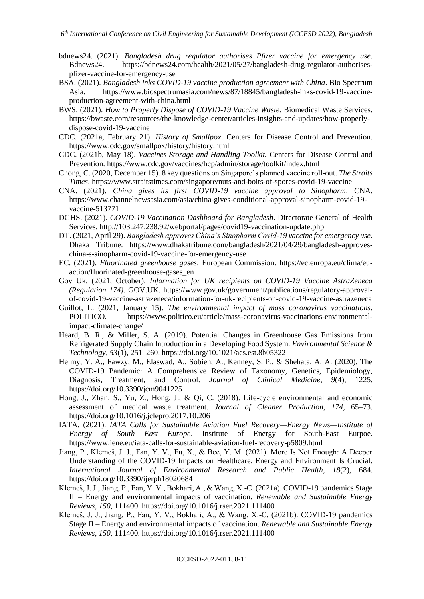- bdnews24. (2021). *Bangladesh drug regulator authorises Pfizer vaccine for emergency use*. Bdnews24. https://bdnews24.com/health/2021/05/27/bangladesh-drug-regulator-authorisespfizer-vaccine-for-emergency-use
- BSA. (2021). *Bangladesh inks COVID-19 vaccine production agreement with China*. Bio Spectrum Asia. https://www.biospectrumasia.com/news/87/18845/bangladesh-inks-covid-19-vaccineproduction-agreement-with-china.html
- BWS. (2021). *How to Properly Dispose of COVID-19 Vaccine Waste*. Biomedical Waste Services. https://bwaste.com/resources/the-knowledge-center/articles-insights-and-updates/how-properlydispose-covid-19-vaccine
- CDC. (2021a, February 21). *History of Smallpox*. Centers for Disease Control and Prevention. https://www.cdc.gov/smallpox/history/history.html
- CDC. (2021b, May 18). *Vaccines Storage and Handling Toolkit*. Centers for Disease Control and Prevention. https://www.cdc.gov/vaccines/hcp/admin/storage/toolkit/index.html
- Chong, C. (2020, December 15). 8 key questions on Singapore's planned vaccine roll-out. *The Straits Times*. https://www.straitstimes.com/singapore/nuts-and-bolts-of-spores-covid-19-vaccine
- CNA. (2021). *China gives its first COVID-19 vaccine approval to Sinopharm*. CNA. https://www.channelnewsasia.com/asia/china-gives-conditional-approval-sinopharm-covid-19 vaccine-513771
- DGHS. (2021). *COVID-19 Vaccination Dashboard for Bangladesh*. Directorate General of Health Services. http://103.247.238.92/webportal/pages/covid19-vaccination-update.php
- DT. (2021, April 29). *Bangladesh approves China's Sinopharm Covid-19 vaccine for emergency use*. Dhaka Tribune. https://www.dhakatribune.com/bangladesh/2021/04/29/bangladesh-approveschina-s-sinopharm-covid-19-vaccine-for-emergency-use
- EC. (2021). *Fluorinated greenhouse gases*. European Commission. https://ec.europa.eu/clima/euaction/fluorinated-greenhouse-gases\_en
- Gov Uk. (2021, October). *Information for UK recipients on COVID-19 Vaccine AstraZeneca (Regulation 174)*. GOV.UK. https://www.gov.uk/government/publications/regulatory-approvalof-covid-19-vaccine-astrazeneca/information-for-uk-recipients-on-covid-19-vaccine-astrazeneca
- Guillot, L. (2021, January 15). *The environmental impact of mass coronavirus vaccinations*. POLITICO. https://www.politico.eu/article/mass-coronavirus-vaccinations-environmentalimpact-climate-change/
- Heard, B. R., & Miller, S. A. (2019). Potential Changes in Greenhouse Gas Emissions from Refrigerated Supply Chain Introduction in a Developing Food System. *Environmental Science & Technology*, *53*(1), 251–260. https://doi.org/10.1021/acs.est.8b05322
- Helmy, Y. A., Fawzy, M., Elaswad, A., Sobieh, A., Kenney, S. P., & Shehata, A. A. (2020). The COVID-19 Pandemic: A Comprehensive Review of Taxonomy, Genetics, Epidemiology, Diagnosis, Treatment, and Control. *Journal of Clinical Medicine*, *9*(4), 1225. https://doi.org/10.3390/jcm9041225
- Hong, J., Zhan, S., Yu, Z., Hong, J., & Qi, C. (2018). Life-cycle environmental and economic assessment of medical waste treatment. *Journal of Cleaner Production*, *174*, 65–73. https://doi.org/10.1016/j.jclepro.2017.10.206
- IATA. (2021). *IATA Calls for Sustainable Aviation Fuel Recovery—Energy News—Institute of Energy of South East Europe*. Institute of Energy for South-East Eurpoe. https://www.iene.eu/iata-calls-for-sustainable-aviation-fuel-recovery-p5809.html
- Jiang, P., Klemeš, J. J., Fan, Y. V., Fu, X., & Bee, Y. M. (2021). More Is Not Enough: A Deeper Understanding of the COVID-19 Impacts on Healthcare, Energy and Environment Is Crucial. *International Journal of Environmental Research and Public Health*, *18*(2), 684. https://doi.org/10.3390/ijerph18020684
- Klemeš, J. J., Jiang, P., Fan, Y. V., Bokhari, A., & Wang, X.-C. (2021a). COVID-19 pandemics Stage II – Energy and environmental impacts of vaccination. *Renewable and Sustainable Energy Reviews*, *150*, 111400. https://doi.org/10.1016/j.rser.2021.111400
- Klemeš, J. J., Jiang, P., Fan, Y. V., Bokhari, A., & Wang, X.-C. (2021b). COVID-19 pandemics Stage II – Energy and environmental impacts of vaccination. *Renewable and Sustainable Energy Reviews*, *150*, 111400. https://doi.org/10.1016/j.rser.2021.111400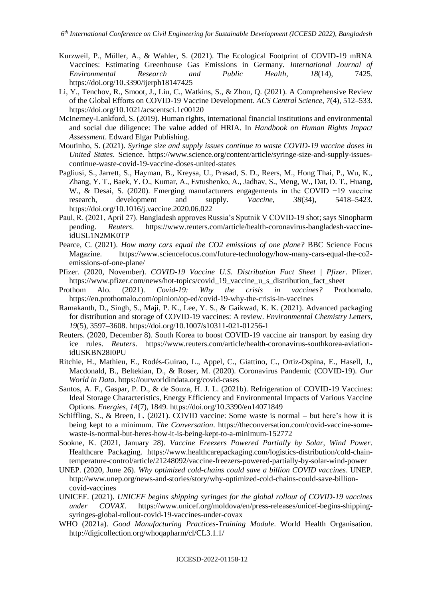- Kurzweil, P., Müller, A., & Wahler, S. (2021). The Ecological Footprint of COVID-19 mRNA Vaccines: Estimating Greenhouse Gas Emissions in Germany. *International Journal of Environmental Research and Public Health*, *18*(14), 7425. https://doi.org/10.3390/ijerph18147425
- Li, Y., Tenchov, R., Smoot, J., Liu, C., Watkins, S., & Zhou, Q. (2021). A Comprehensive Review of the Global Efforts on COVID-19 Vaccine Development. *ACS Central Science*, *7*(4), 512–533. https://doi.org/10.1021/acscentsci.1c00120
- McInerney-Lankford, S. (2019). Human rights, international financial institutions and environmental and social due diligence: The value added of HRIA. In *Handbook on Human Rights Impact Assessment*. Edward Elgar Publishing.
- Moutinho, S. (2021). *Syringe size and supply issues continue to waste COVID-19 vaccine doses in United States*. Science. https://www.science.org/content/article/syringe-size-and-supply-issuescontinue-waste-covid-19-vaccine-doses-united-states
- Pagliusi, S., Jarrett, S., Hayman, B., Kreysa, U., Prasad, S. D., Reers, M., Hong Thai, P., Wu, K., Zhang, Y. T., Baek, Y. O., Kumar, A., Evtushenko, A., Jadhav, S., Meng, W., Dat, D. T., Huang, W., & Desai, S. (2020). Emerging manufacturers engagements in the COVID −19 vaccine research, development and supply. *Vaccine*, *38*(34), 5418–5423. https://doi.org/10.1016/j.vaccine.2020.06.022
- Paul, R. (2021, April 27). Bangladesh approves Russia's Sputnik V COVID-19 shot; says Sinopharm pending. *Reuters*. https://www.reuters.com/article/health-coronavirus-bangladesh-vaccineidUSL1N2MK0TP
- Pearce, C. (2021). *How many cars equal the CO2 emissions of one plane?* BBC Science Focus Magazine. https://www.sciencefocus.com/future-technology/how-many-cars-equal-the-co2 emissions-of-one-plane/
- Pfizer. (2020, November). *COVID-19 Vaccine U.S. Distribution Fact Sheet | Pfizer*. Pfizer. https://www.pfizer.com/news/hot-topics/covid\_19\_vaccine\_u\_s\_distribution\_fact\_sheet
- Prothom Alo. (2021). *Covid-19: Why the crisis in vaccines?* Prothomalo. https://en.prothomalo.com/opinion/op-ed/covid-19-why-the-crisis-in-vaccines
- Ramakanth, D., Singh, S., Maji, P. K., Lee, Y. S., & Gaikwad, K. K. (2021). Advanced packaging for distribution and storage of COVID-19 vaccines: A review. *Environmental Chemistry Letters*, *19*(5), 3597–3608. https://doi.org/10.1007/s10311-021-01256-1
- Reuters. (2020, December 8). South Korea to boost COVID-19 vaccine air transport by easing dry ice rules. *Reuters*. https://www.reuters.com/article/health-coronavirus-southkorea-aviationidUSKBN28I0PU
- Ritchie, H., Mathieu, E., Rodés-Guirao, L., Appel, C., Giattino, C., Ortiz-Ospina, E., Hasell, J., Macdonald, B., Beltekian, D., & Roser, M. (2020). Coronavirus Pandemic (COVID-19). *Our World in Data*. https://ourworldindata.org/covid-cases
- Santos, A. F., Gaspar, P. D., & de Souza, H. J. L. (2021b). Refrigeration of COVID-19 Vaccines: Ideal Storage Characteristics, Energy Efficiency and Environmental Impacts of Various Vaccine Options. *Energies*, *14*(7), 1849. https://doi.org/10.3390/en14071849
- Schiffling, S., & Breen, L. (2021). COVID vaccine: Some waste is normal but here's how it is being kept to a minimum. *The Conversation*. https://theconversation.com/covid-vaccine-somewaste-is-normal-but-heres-how-it-is-being-kept-to-a-minimum-152772
- Sookne, K. (2021, January 28). *Vaccine Freezers Powered Partially by Solar, Wind Power*. Healthcare Packaging. https://www.healthcarepackaging.com/logistics-distribution/cold-chaintemperature-control/article/21248092/vaccine-freezers-powered-partially-by-solar-wind-power
- UNEP. (2020, June 26). *Why optimized cold-chains could save a billion COVID vaccines*. UNEP. http://www.unep.org/news-and-stories/story/why-optimized-cold-chains-could-save-billioncovid-vaccines
- UNICEF. (2021). *UNICEF begins shipping syringes for the global rollout of COVID-19 vaccines under COVAX*. https://www.unicef.org/moldova/en/press-releases/unicef-begins-shippingsyringes-global-rollout-covid-19-vaccines-under-covax
- WHO (2021a). *Good Manufacturing Practices-Training Module*. World Health Organisation. http://digicollection.org/whoqapharm/cl/CL3.1.1/